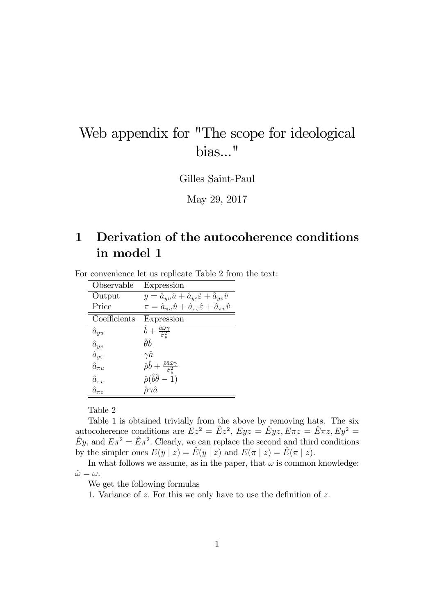# Web appendix for "The scope for ideological bias..."

Gilles Saint-Paul

May 29, 2017

### 1 Derivation of the autocoherence conditions in model 1

For convenience let us replicate Table 2 from the text:

| Observable                   | Expression                                                                                           |
|------------------------------|------------------------------------------------------------------------------------------------------|
| Output                       | $y = \hat{a}_{uu}\hat{u} + \hat{a}_{ye}\hat{\varepsilon} + \hat{a}_{uv}\hat{v}$                      |
| Price                        | $\pi = \hat{a}_{\pi u}\hat{u} + \hat{a}_{\pi \varepsilon}\hat{\varepsilon} + \hat{a}_{\pi v}\hat{v}$ |
| Coefficients                 | Expression                                                                                           |
| $\hat{a}_{yu}$               | $\hat{b}+\frac{\hat{a}\hat{\omega}\gamma}{\hat{\sigma}_u^2}$                                         |
| $\hat{a}_{yv}$               | $\hat{\theta} \hat{b}$                                                                               |
| $\hat{a}_{\eta \varepsilon}$ | $\gamma \hat a$                                                                                      |
| $\hat{a}_{\pi u}$            | $\hat{\rho}\hat{b}+\frac{\hat{\rho}\hat{a}\hat{\omega}\gamma}{\hat{\sigma}^2_{\circ}}$               |
| $\hat{a}_{\pi v}$            | $\hat{\rho}(\hat{b}\hat{\theta}-\tilde{1})$                                                          |
| $\hat{a}_{\pi\varepsilon}$   |                                                                                                      |

Table 2

Table 1 is obtained trivially from the above by removing hats. The six autocoherence conditions are  $E z^2 = \hat{E} z^2$ ,  $E y z = \hat{E} y z$ ,  $E \pi z = \hat{E} \pi z$ ,  $E y^2 =$  $\hat{E}y$ , and  $E\pi^2 = \hat{E}\pi^2$ . Clearly, we can replace the second and third conditions by the simpler ones  $E(y | z) = \hat{E}(y | z)$  and  $E(\pi | z) = \hat{E}(\pi | z).$ 

In what follows we assume, as in the paper, that  $\omega$  is common knowledge:  $\hat{\omega} = \omega.$ 

We get the following formulas

1. Variance of  $z$ . For this we only have to use the definition of  $z$ .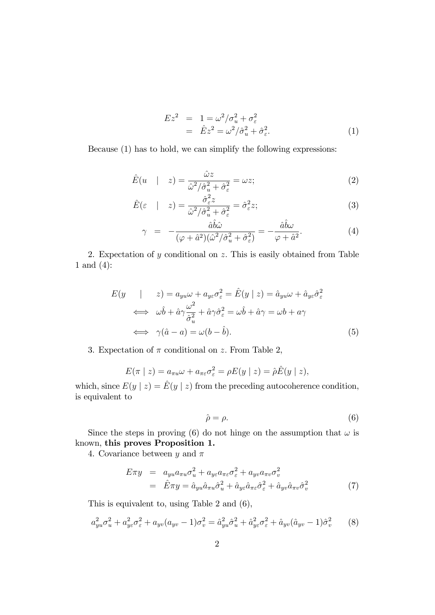$$
Ez2 = 1 = \omega2/\sigmau2 + \sigma\varepsilon2
$$
  
=  $\hat{E}z2 = \omega2/\hat{\sigma}u2 + \hat{\sigma}\varepsilon2.$  (1)

Because (1) has to hold, we can simplify the following expressions:

$$
\hat{E}(u \mid z) = \frac{\hat{\omega}z}{\hat{\omega}^2/\hat{\sigma}_u^2 + \hat{\sigma}_\varepsilon^2} = \omega z; \tag{2}
$$

$$
\hat{E}(\varepsilon \quad | \quad z) = \frac{\hat{\sigma}_{\varepsilon}^2 z}{\hat{\omega}^2 / \hat{\sigma}_u^2 + \hat{\sigma}_{\varepsilon}^2} = \hat{\sigma}_{\varepsilon}^2 z; \tag{3}
$$

$$
\gamma = -\frac{\hat{a}\hat{b}\hat{\omega}}{(\varphi + \hat{a}^2)(\hat{\omega}^2/\hat{\sigma}_u^2 + \hat{\sigma}_\varepsilon^2)} = -\frac{\hat{a}\hat{b}\omega}{\varphi + \hat{a}^2}.
$$
(4)

2. Expectation of  $y$  conditional on  $z$ . This is easily obtained from Table 1 and (4):

$$
E(y \mid z) = a_{yu}\omega + a_{ye}\sigma_{\varepsilon}^{2} = \hat{E}(y \mid z) = \hat{a}_{yu}\omega + \hat{a}_{ye}\hat{\sigma}_{\varepsilon}^{2}
$$
  
\n
$$
\iff \omega\hat{b} + \hat{a}\gamma\frac{\omega^{2}}{\hat{\sigma}_{u}^{2}} + \hat{a}\gamma\hat{\sigma}_{\varepsilon}^{2} = \omega\hat{b} + \hat{a}\gamma = \omega b + a\gamma
$$
  
\n
$$
\iff \gamma(\hat{a} - a) = \omega(b - \hat{b}).
$$
\n(5)

3. Expectation of  $\pi$  conditional on z. From Table 2,

$$
E(\pi \mid z) = a_{\pi u} \omega + a_{\pi \varepsilon} \sigma_{\varepsilon}^2 = \rho E(y \mid z) = \hat{\rho} \hat{E}(y \mid z),
$$

which, since  $E(y | z) = E(y | z)$  from the preceding autocoherence condition, is equivalent to

$$
\hat{\rho} = \rho. \tag{6}
$$

Since the steps in proving (6) do not hinge on the assumption that  $\omega$  is known, this proves Proposition 1.

4. Covariance between y and  $\pi$ 

$$
E\pi y = a_{yu}a_{\pi u}\sigma_u^2 + a_{ye}a_{\pi \varepsilon}\sigma_{\varepsilon}^2 + a_{yv}a_{\pi v}\sigma_v^2
$$
  
=  $\hat{E}\pi y = \hat{a}_{yu}\hat{a}_{\pi u}\hat{\sigma}_u^2 + \hat{a}_{ye}\hat{a}_{\pi \varepsilon}\hat{\sigma}_{\varepsilon}^2 + \hat{a}_{yv}\hat{a}_{\pi v}\hat{\sigma}_v^2$  (7)

This is equivalent to, using Table 2 and (6),

$$
a_{yu}^2 \sigma_u^2 + a_{ye}^2 \sigma_{\varepsilon}^2 + a_{yv} (a_{yv} - 1) \sigma_v^2 = \hat{a}_{yu}^2 \hat{\sigma}_u^2 + \hat{a}_{ye}^2 \sigma_{\varepsilon}^2 + \hat{a}_{yv} (\hat{a}_{yv} - 1) \hat{\sigma}_v^2 \tag{8}
$$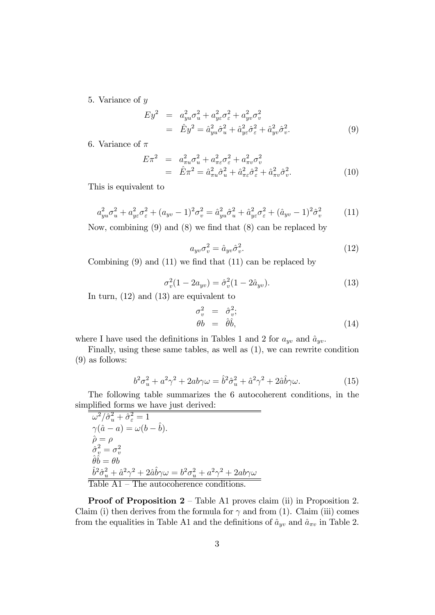5. Variance of y

$$
Ey^2 = a_{yu}^2 \sigma_u^2 + a_{ye}^2 \sigma_{\varepsilon}^2 + a_{yv}^2 \sigma_v^2
$$
  
=  $\hat{E}y^2 = \hat{a}_{yu}^2 \hat{\sigma}_u^2 + \hat{a}_{ye}^2 \hat{\sigma}_{\varepsilon}^2 + \hat{a}_{yv}^2 \hat{\sigma}_v^2.$  (9)

6. Variance of  $\pi$ 

$$
E\pi^2 = a_{\pi u}^2 \sigma_u^2 + a_{\pi \varepsilon}^2 \sigma_\varepsilon^2 + a_{\pi v}^2 \sigma_v^2
$$
  
=  $\hat{E}\pi^2 = \hat{a}_{\pi u}^2 \hat{\sigma}_u^2 + \hat{a}_{\pi \varepsilon}^2 \hat{\sigma}_\varepsilon^2 + \hat{a}_{\pi v}^2 \hat{\sigma}_v^2.$  (10)

This is equivalent to

$$
a_{yu}^2 \sigma_u^2 + a_{y\varepsilon}^2 \sigma_{\varepsilon}^2 + (a_{yv} - 1)^2 \sigma_v^2 = \hat{a}_{yu}^2 \hat{\sigma}_u^2 + \hat{a}_{y\varepsilon}^2 \sigma_{\varepsilon}^2 + (\hat{a}_{yv} - 1)^2 \hat{\sigma}_v^2
$$
 (11)

Now, combining  $(9)$  and  $(8)$  we find that  $(8)$  can be replaced by

$$
a_{yv}\sigma_v^2 = \hat{a}_{yv}\hat{\sigma}_v^2.
$$
\n(12)

Combining  $(9)$  and  $(11)$  we find that  $(11)$  can be replaced by

$$
\sigma_v^2(1 - 2a_{yv}) = \hat{\sigma}_v^2(1 - 2\hat{a}_{yv}). \tag{13}
$$

In turn, (12) and (13) are equivalent to

$$
\begin{array}{rcl}\n\sigma_v^2 &=& \hat{\sigma}_v^2; \\
\theta b &=& \hat{\theta}\hat{b},\n\end{array} \tag{14}
$$

where I have used the definitions in Tables 1 and 2 for  $a_{yv}$  and  $\hat{a}_{yv}$ .

Finally, using these same tables, as well as (1), we can rewrite condition (9) as follows:

$$
b^2 \sigma_u^2 + a^2 \gamma^2 + 2ab\gamma \omega = \hat{b}^2 \hat{\sigma}_u^2 + \hat{a}^2 \gamma^2 + 2\hat{a}\hat{b}\gamma \omega.
$$
 (15)

The following table summarizes the 6 autocoherent conditions, in the simplified forms we have just derived:

$$
\overline{\omega^2/\hat{\sigma}_u^2 + \hat{\sigma}_\varepsilon^2} = 1
$$
  
\n
$$
\gamma(\hat{a} - a) = \omega(b - \hat{b}).
$$
  
\n
$$
\hat{\rho} = \rho
$$
  
\n
$$
\hat{\sigma}_v^2 = \sigma_v^2
$$
  
\n
$$
\hat{\theta}\hat{b} = \theta b
$$
  
\n
$$
\frac{\hat{b}^2\hat{\sigma}_u^2 + \hat{a}^2\gamma^2 + 2\hat{a}\hat{b}\gamma\omega = b^2\sigma_u^2 + a^2\gamma^2 + 2ab\gamma\omega}{\text{Table A1} - \text{The autocoherence conditions.}}
$$

**Proof of Proposition 2** – Table A1 proves claim (ii) in Proposition 2. Claim (i) then derives from the formula for  $\gamma$  and from (1). Claim (iii) comes from the equalities in Table A1 and the definitions of  $\hat{a}_{yv}$  and  $\hat{a}_{\pi v}$  in Table 2.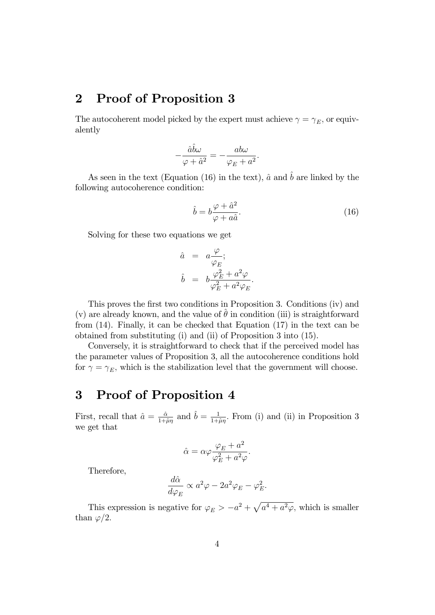### 2 Proof of Proposition 3

The autocoherent model picked by the expert must achieve  $\gamma = \gamma_E$ , or equivalently

$$
-\frac{\hat{a}\hat{b}\omega}{\varphi + \hat{a}^2} = -\frac{ab\omega}{\varphi_E + a^2}.
$$

As seen in the text (Equation (16) in the text),  $\hat{a}$  and  $\hat{b}$  are linked by the following autocoherence condition:

$$
\hat{b} = b \frac{\varphi + \hat{a}^2}{\varphi + a\hat{a}}.\tag{16}
$$

Solving for these two equations we get

$$
\begin{array}{rcl}\n\hat{a} & = & a \frac{\varphi}{\varphi_E}; \\
\hat{b} & = & b \frac{\varphi_E^2 + a^2 \varphi}{\varphi_E^2 + a^2 \varphi_E}.\n\end{array}
$$

This proves the first two conditions in Proposition 3. Conditions (iv) and (v) are already known, and the value of  $\hat{\theta}$  in condition (iii) is straightforward from (14). Finally, it can be checked that Equation (17) in the text can be obtained from substituting (i) and (ii) of Proposition 3 into (15).

Conversely, it is straightforward to check that if the perceived model has the parameter values of Proposition 3, all the autocoherence conditions hold for  $\gamma = \gamma_E$ , which is the stabilization level that the government will choose.

#### 3 Proof of Proposition 4

First, recall that  $\hat{a} = \frac{\hat{a}}{1+i}$  $\frac{\hat{\alpha}}{1+\hat{\mu}\eta}$  and  $\hat{b} = \frac{1}{1+\hat{b}}$  $\frac{1}{1+\hat{\mu}\eta}$ . From (i) and (ii) in Proposition 3 we get that

$$
\hat{\alpha} = \alpha \varphi \frac{\varphi_E + a^2}{\varphi_E^2 + a^2 \varphi}.
$$

Therefore,

$$
\frac{d\hat{\alpha}}{d\varphi_E} \propto a^2 \varphi - 2a^2 \varphi_E - \varphi_E^2.
$$

This expression is negative for  $\varphi_E > -a^2 + \sqrt{a^4 + a^2 \varphi}$ , which is smaller than  $\varphi/2$ .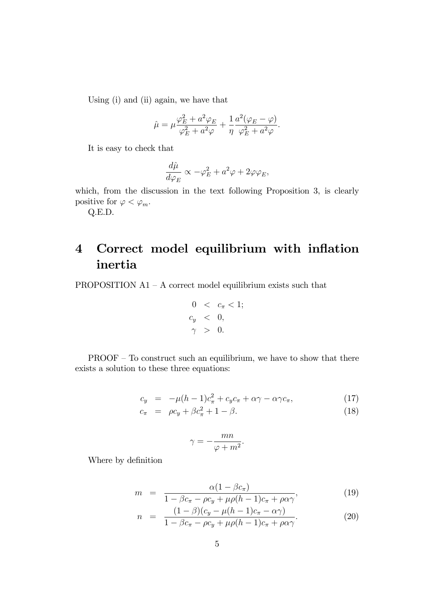Using (i) and (ii) again, we have that

$$
\hat{\mu} = \mu \frac{\varphi_E^2 + a^2 \varphi_E}{\varphi_E^2 + a^2 \varphi} + \frac{1}{\eta} \frac{a^2 (\varphi_E - \varphi)}{\varphi_E^2 + a^2 \varphi}.
$$

It is easy to check that

$$
\frac{d\hat{\mu}}{d\varphi_E} \propto -\varphi_E^2 + a^2 \varphi + 2\varphi \varphi_E,
$$

which, from the discussion in the text following Proposition 3, is clearly positive for  $\varphi < \varphi_m$ .

Q.E.D.

## 4 Correct model equilibrium with inflation inertia

PROPOSITION  $A1 - A$  correct model equilibrium exists such that

$$
0 < c_{\pi} < 1; \\
c_y < 0, \\
\gamma > 0.
$$

 $PROOF$  – To construct such an equilibrium, we have to show that there exists a solution to these three equations:

$$
c_y = -\mu(h-1)c_{\pi}^2 + c_y c_{\pi} + \alpha \gamma - \alpha \gamma c_{\pi}, \qquad (17)
$$

$$
c_{\pi} = \rho c_y + \beta c_{\pi}^2 + 1 - \beta. \tag{18}
$$

$$
\gamma = -\frac{mn}{\varphi + m^2}.
$$

Where by definition

$$
m = \frac{\alpha (1 - \beta c_{\pi})}{1 - \beta c_{\pi} - \rho c_{y} + \mu \rho (h - 1) c_{\pi} + \rho \alpha \gamma},
$$
(19)

$$
n = \frac{(1-\beta)(c_y - \mu(h-1)c_\pi - \alpha\gamma)}{1 - \beta c_\pi - \rho c_y + \mu\rho(h-1)c_\pi + \rho\alpha\gamma}.
$$
\n(20)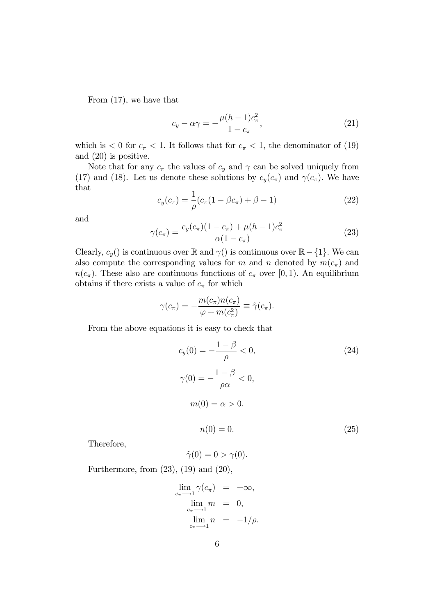From (17), we have that

$$
c_y - \alpha \gamma = -\frac{\mu (h-1)c_\pi^2}{1-c_\pi},\tag{21}
$$

which is  $< 0$  for  $c_{\pi} < 1$ . It follows that for  $c_{\pi} < 1$ , the denominator of (19) and (20) is positive.

Note that for any  $c_\pi$  the values of  $c_y$  and  $\gamma$  can be solved uniquely from (17) and (18). Let us denote these solutions by  $c_y(c_\pi)$  and  $\gamma(c_\pi)$ . We have that

$$
c_y(c_\pi) = \frac{1}{\rho}(c_\pi(1 - \beta c_\pi) + \beta - 1)
$$
 (22)

and

$$
\gamma(c_{\pi}) = \frac{c_y(c_{\pi})(1 - c_{\pi}) + \mu(h - 1)c_{\pi}^2}{\alpha(1 - c_{\pi})}
$$
(23)

Clearly,  $c_y()$  is continuous over  $\mathbb{R}$  and  $\gamma()$  is continuous over  $\mathbb{R} - \{1\}$ . We can also compute the corresponding values for m and n denoted by  $m(c_{\pi})$  and  $n(c_{\pi})$ . These also are continuous functions of  $c_{\pi}$  over [0, 1). An equilibrium obtains if there exists a value of  $c_{\pi}$  for which

$$
\gamma(c_{\pi}) = -\frac{m(c_{\pi})n(c_{\pi})}{\varphi + m(c_{\pi}^{2})} \equiv \tilde{\gamma}(c_{\pi}).
$$

From the above equations it is easy to check that

$$
c_y(0) = -\frac{1-\beta}{\rho} < 0,
$$
  
\n
$$
\gamma(0) = -\frac{1-\beta}{\rho \alpha} < 0,
$$
  
\n
$$
m(0) = \alpha > 0.
$$
  
\n
$$
n(0) = 0.
$$
\n(25)

Therefore,

$$
\tilde{\gamma}(0) = 0 > \gamma(0).
$$

Furthermore, from (23), (19) and (20),

$$
\lim_{c_{\pi}\to 1} \gamma(c_{\pi}) = +\infty,
$$
  
\n
$$
\lim_{c_{\pi}\to 1} m = 0,
$$
  
\n
$$
\lim_{c_{\pi}\to 1} n = -1/\rho.
$$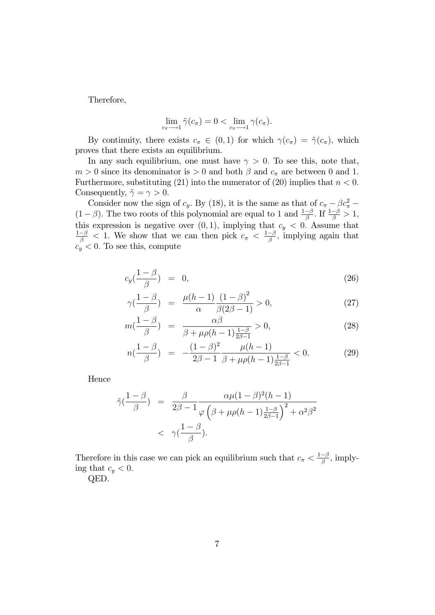Therefore,

$$
\lim_{c_{\pi}\longrightarrow 1} \tilde{\gamma}(c_{\pi}) = 0 < \lim_{c_{\pi}\longrightarrow 1} \gamma(c_{\pi}).
$$

By continuity, there exists  $c_{\pi} \in (0,1)$  for which  $\gamma(c_{\pi}) = \tilde{\gamma}(c_{\pi})$ , which proves that there exists an equilibrium.

In any such equilibrium, one must have  $\gamma > 0$ . To see this, note that,  $m > 0$  since its denominator is  $> 0$  and both  $\beta$  and  $c_{\pi}$  are between 0 and 1. Furthermore, substituting (21) into the numerator of (20) implies that  $n < 0$ . Consequently,  $\tilde{\gamma} = \gamma > 0$ .

Consider now the sign of  $c_y$ . By (18), it is the same as that of  $c_\pi - \beta c_\pi^2$  $(1 - \beta)$ . The two roots of this polynomial are equal to 1 and  $\frac{1-\beta}{\beta}$ . If  $\frac{1-\beta}{\beta} > 1$ , this expression is negative over  $(0, 1)$ , implying that  $c_y < 0$ . Assume that  $\frac{1-\beta}{\beta}$  < 1. We show that we can then pick  $c_{\pi} < \frac{1-\beta}{\beta}$ , implying again that  $c_y < 0$ . To see this, compute

$$
c_y(\frac{1-\beta}{\beta}) = 0, \tag{26}
$$

$$
\gamma(\frac{1-\beta}{\beta}) = \frac{\mu(h-1)}{\alpha} \frac{(1-\beta)^2}{\beta(2\beta - 1)} > 0,
$$
\n(27)

$$
m\left(\frac{1-\beta}{\beta}\right) = \frac{\alpha\beta}{\beta + \mu\rho(h-1)\frac{1-\beta}{2\beta - 1}} > 0,
$$
\n(28)

$$
n\left(\frac{1-\beta}{\beta}\right) = -\frac{(1-\beta)^2}{2\beta - 1} \frac{\mu(h-1)}{\beta + \mu\rho(h-1)\frac{1-\beta}{2\beta - 1}} < 0. \tag{29}
$$

Hence

$$
\tilde{\gamma}\left(\frac{1-\beta}{\beta}\right) = \frac{\beta}{2\beta - 1} \frac{\alpha \mu (1-\beta)^2 (h-1)}{\varphi \left(\beta + \mu \rho (h-1) \frac{1-\beta}{2\beta - 1}\right)^2 + \alpha^2 \beta^2}
$$
  
<  $\gamma\left(\frac{1-\beta}{\beta}\right).$ 

Therefore in this case we can pick an equilibrium such that  $c_{\pi} < \frac{1-\beta}{\beta}$ , implying that  $c_y < 0$ .

QED.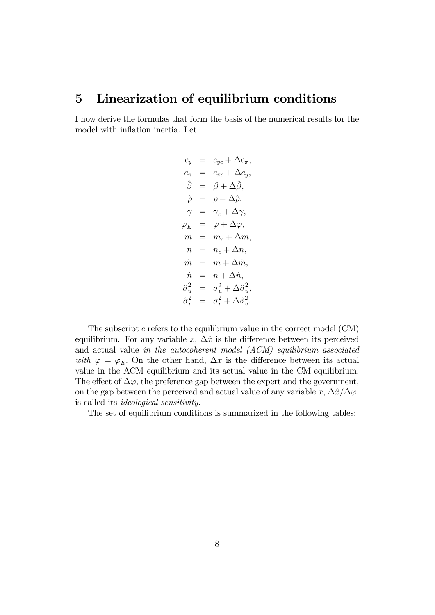#### 5 Linearization of equilibrium conditions

I now derive the formulas that form the basis of the numerical results for the model with inflation inertia. Let

$$
\begin{array}{rcl} c_y&=&c_{yc}+\Delta c_\pi,\\ c_\pi&=&c_{\pi c}+\Delta c_y,\\ \hat{\beta}&=&\beta+\Delta\hat{\beta},\\ \hat{\rho}&=&\rho+\Delta\hat{\rho},\\ \gamma&=&\gamma_c+\Delta\gamma,\\ \varphi_E&=&\varphi+\Delta\varphi,\\ m&=&m_c+\Delta m,\\ n&=&n_c+\Delta n,\\ \hat{m}&=&m+\Delta\hat{m},\\ \hat{n}&=&n+\Delta\hat{n},\\ \hat{\sigma}_u^2&=&\sigma_u^2+\Delta\hat{\sigma}_u^2,\\ \hat{\sigma}_v^2&=&\sigma_v^2+\Delta\hat{\sigma}_v^2.\\ \end{array}
$$

The subscript  $c$  refers to the equilibrium value in the correct model  $(CM)$ equilibrium. For any variable x,  $\Delta \hat{x}$  is the difference between its perceived and actual value in the autocoherent model (ACM) equilibrium associated with  $\varphi = \varphi_E$ . On the other hand,  $\Delta x$  is the difference between its actual value in the ACM equilibrium and its actual value in the CM equilibrium. The effect of  $\Delta\varphi$ , the preference gap between the expert and the government, on the gap between the perceived and actual value of any variable x,  $\Delta \hat{x}/\Delta \varphi$ , is called its ideological sensitivity.

The set of equilibrium conditions is summarized in the following tables: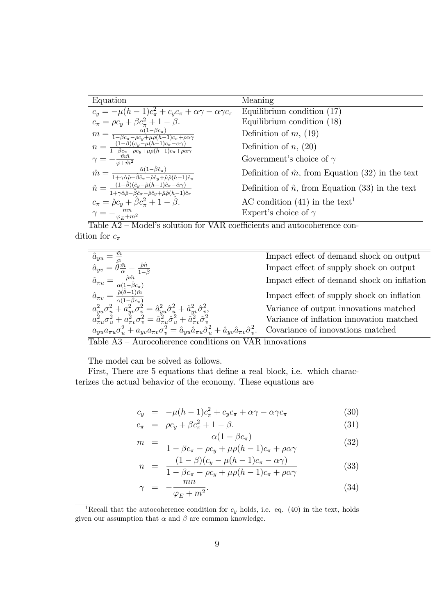| Equation                                                                                                                                                                                                          | Meaning                                                  |
|-------------------------------------------------------------------------------------------------------------------------------------------------------------------------------------------------------------------|----------------------------------------------------------|
| $c_y = -\mu(h-1)c_{\pi}^2 + c_yc_{\pi} + \alpha\gamma - \alpha\gamma c_{\pi}$                                                                                                                                     | Equilibrium condition (17)                               |
| $c_{\pi} = \rho c_{y} + \beta c_{\pi}^{2} + 1 - \beta.$                                                                                                                                                           | Equilibrium condition (18)                               |
| $m = \frac{\alpha(1-\beta c_{\pi})}{1-\beta c_{\pi}-\rho c_{y}+\mu\rho(h-1)c_{\pi}+\rho\alpha\gamma}$                                                                                                             | Definition of $m$ , (19)                                 |
| $n = \frac{\left(1-\beta\right)\left(c_y - \mu\left(h-1\right)c_{\pi} - \alpha\gamma\right)}{1-\beta c_{\pi} - \rho c_{\eta} + \mu\rho(h-1)c_{\pi} + \rho\alpha\gamma}$                                           | Definition of $n, (20)$                                  |
| $\gamma = -\frac{\hat{m}\hat{n}}{\varphi + \hat{m}^2}$                                                                                                                                                            | Government's choice of $\gamma$                          |
| $\hat{m} = \frac{\hat{\alpha}(1-\hat{\beta}\hat{c}_{\pi})}{1+\gamma\hat{\alpha}\hat{\rho}-\hat{\beta}\hat{c}_{\pi}-\hat{\rho}\hat{c}_{y}+\hat{\mu}\hat{\rho}(h-1)\hat{c}_{\pi}}$                                  | Definition of $\hat{m}$ , from Equation (32) in the text |
| $\hat{n} = \frac{(1-\hat{\beta})(\hat{c}_y - \hat{\mu}(h-1)\hat{c}_\pi - \hat{\alpha}\gamma)}{1+\gamma\hat{\alpha}\hat{\rho}-\hat{\beta}\hat{c}_\pi - \hat{\rho}\hat{c}_y + \hat{\mu}\hat{\rho}(h-1)\hat{c}_\pi}$ | Definition of $\hat{n}$ , from Equation (33) in the text |
| $c_{\pi} = \hat{\rho}c_{y} + \hat{\beta}c_{\pi}^{2} + 1 - \hat{\beta}.$                                                                                                                                           | AC condition $(41)$ in the text <sup>1</sup>             |
| $\gamma = -\frac{mn}{\varphi_E + m^2}$                                                                                                                                                                            | Expert's choice of $\gamma$                              |

Table  $A2$  – Model's solution for VAR coefficients and autocoherence condition for  $c_{\pi}$ 

|                                                                                                                                                                                                                                                                            | Impact effect of demand shock on output    |
|----------------------------------------------------------------------------------------------------------------------------------------------------------------------------------------------------------------------------------------------------------------------------|--------------------------------------------|
| $\hat{a}_{yv}$<br>$\alpha$                                                                                                                                                                                                                                                 | Impact effect of supply shock on output    |
| $\hat{a}_{\pi u}$                                                                                                                                                                                                                                                          | Impact effect of demand shock on inflation |
| $\hat{a}_{\pi v} = \frac{\hat{\rho}(\hat{\theta}-1)\hat{m}}{\alpha(1-\hat{\beta}c_{\pi})}$                                                                                                                                                                                 | Impact effect of supply shock on inflation |
| $\begin{array}{l} a_{yu}^2 \sigma^2_u + a_{yv}^2 \sigma^2_v = \hat{a}_{yu}^2 \hat{\sigma}^2_u + \hat{a}_{yv}^2 \hat{\sigma}^2_v, \\ a_{\pi u}^2 \sigma^2_u + a_{\pi v}^2 \sigma^2_v = \hat{a}_{\pi u}^2 \hat{\sigma}^2_u + \hat{a}_{\pi v}^2 \hat{\sigma}^2_v \end{array}$ | Variance of output innovations matched     |
|                                                                                                                                                                                                                                                                            | Variance of inflation innovation matched   |
| $a_{uu}a_{\pi u}\sigma_u^2 + a_{uv}a_{\pi v}\sigma_v^2 = \hat{a}_{yu}\hat{a}_{\pi u}\hat{\sigma}_u^2 + \hat{a}_{yv}\hat{a}_{\pi v}\hat{\sigma}_v^2.$                                                                                                                       | Covariance of innovations matched          |
|                                                                                                                                                                                                                                                                            |                                            |

 $\overline{\text{Table A3 - Aurocoherence conditions on VAR innovations}}$ 

The model can be solved as follows.

First, There are 5 equations that define a real block, i.e. which characterizes the actual behavior of the economy. These equations are

$$
c_y = -\mu(h-1)c_{\pi}^2 + c_y c_{\pi} + \alpha \gamma - \alpha \gamma c_{\pi}
$$
 (30)

$$
c_{\pi} = \rho c_y + \beta c_{\pi}^2 + 1 - \beta. \tag{31}
$$

$$
m = \frac{\alpha (1 - \beta c_{\pi})}{1 - \beta \sqrt{1 - \beta^2 (1 - \beta^2)(1 - \beta^2)} \tag{32}
$$

$$
\frac{1 - \beta c_{\pi} - \rho c_{y} + \mu \rho (h - 1) c_{\pi} + \rho \alpha \gamma}{n} = \frac{(1 - \beta)(c_{y} - \mu (h - 1)c_{\pi} - \alpha \gamma)}{\rho \gamma}
$$
\n(33)

$$
n = \frac{1 - \beta c_{\pi} - \rho c_{y} + \mu \rho (h - 1) c_{\pi} + \rho \alpha \gamma}{1 - \beta c_{\pi} - \rho c_{y} + \mu \rho (h - 1) c_{\pi} + \rho \alpha \gamma}
$$
(33)

$$
\gamma = -\frac{mn}{\varphi_E + m^2}.\tag{34}
$$

<sup>&</sup>lt;sup>1</sup>Recall that the autocoherence condition for  $c_y$  holds, i.e. eq. (40) in the text, holds given our assumption that  $\alpha$  and  $\beta$  are common knowledge.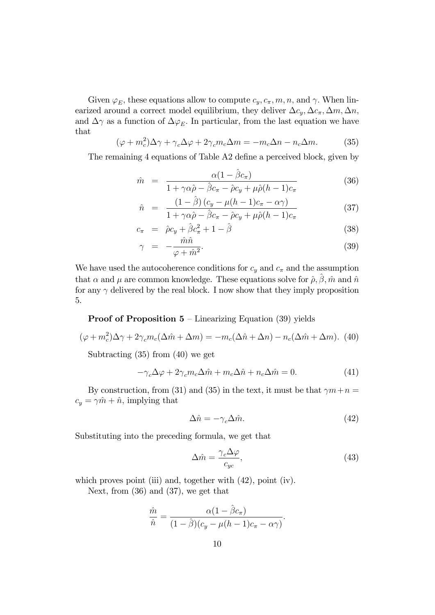Given  $\varphi_E$ , these equations allow to compute  $c_y, c_\pi, m, n$ , and  $\gamma$ . When linearized around a correct model equilibrium, they deliver  $\Delta c_y$ ,  $\Delta c_\pi$ ,  $\Delta m$ ,  $\Delta n$ , and  $\Delta \gamma$  as a function of  $\Delta \varphi_E$ . In particular, from the last equation we have that

$$
(\varphi + m_c^2)\Delta \gamma + \gamma_c \Delta \varphi + 2\gamma_c m_c \Delta m = -m_c \Delta n - n_c \Delta m. \tag{35}
$$

The remaining 4 equations of Table A2 define a perceived block, given by

$$
\hat{m} = \frac{\alpha (1 - \hat{\beta}c_{\pi})}{1 + \gamma \alpha \hat{\rho} - \hat{\beta}c_{\pi} - \hat{\rho}c_{y} + \mu \hat{\rho}(h - 1)c_{\pi}}
$$
(36)

$$
\hat{n} = \frac{(1-\hat{\beta})(c_y - \mu(h-1)c_\pi - \alpha\gamma)}{1 + \gamma\alpha\hat{\rho} - \hat{\beta}c_\pi - \hat{\rho}c_y + \mu\hat{\rho}(h-1)c_\pi}
$$
(37)

$$
c_{\pi} = \hat{\rho}c_{y} + \hat{\beta}c_{\pi}^{2} + 1 - \hat{\beta}
$$
 (38)

$$
\gamma = -\frac{\hat{m}\hat{n}}{\varphi + \hat{m}^2}.
$$
\n(39)

We have used the autocoherence conditions for  $c_y$  and  $c_\pi$  and the assumption that  $\alpha$  and  $\mu$  are common knowledge. These equations solve for  $\hat{\rho}, \hat{\beta}, \hat{m}$  and  $\hat{n}$ for any  $\gamma$  delivered by the real block. I now show that they imply proposition 5.

#### **Proof of Proposition 5** – Linearizing Equation (39) yields

$$
(\varphi + m_c^2)\Delta \gamma + 2\gamma_c m_c(\Delta \hat{m} + \Delta m) = -m_c(\Delta \hat{n} + \Delta n) - n_c(\Delta \hat{m} + \Delta m). \tag{40}
$$

Subtracting (35) from (40) we get

$$
-\gamma_c \Delta \varphi + 2\gamma_c m_c \Delta \hat{m} + m_c \Delta \hat{n} + n_c \Delta \hat{m} = 0.
$$
 (41)

By construction, from (31) and (35) in the text, it must be that  $\gamma m+n=$  $c_y = \gamma \hat{m} + \hat{n}$ , implying that

$$
\Delta \hat{n} = -\gamma_c \Delta \hat{m}.\tag{42}
$$

Substituting into the preceding formula, we get that

$$
\Delta \hat{m} = \frac{\gamma_c \Delta \varphi}{c_{yc}},\tag{43}
$$

which proves point (iii) and, together with  $(42)$ , point (iv).

Next, from (36) and (37), we get that

$$
\frac{\hat{m}}{\hat{n}} = \frac{\alpha (1 - \hat{\beta} c_{\pi})}{(1 - \hat{\beta})(c_y - \mu(h - 1)c_{\pi} - \alpha \gamma)}.
$$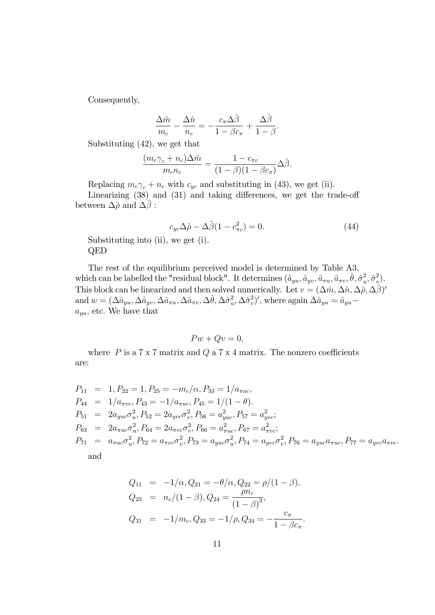Consequently,

$$
\frac{\Delta \hat{m}}{m_c} - \frac{\Delta \hat{n}}{n_c} = -\frac{c_\pi \Delta \hat{\beta}}{1 - \beta c_\pi} + \frac{\Delta \hat{\beta}}{1 - \beta}.
$$

Substituting (42), we get that

$$
\frac{(m_c \gamma_c + n_c) \Delta \hat{m}}{m_c n_c} = \frac{1 - c_{\pi c}}{(1 - \beta)(1 - \beta c_{\pi})} \Delta \hat{\beta}.
$$

Replacing  $m_c \gamma_c + n_c$  with  $c_{yc}$  and substituting in (43), we get (ii).

Linearizing  $(38)$  and  $(31)$  and taking differences, we get the trade-off between  $\Delta \hat{\rho}$  and  $\Delta \hat{\beta}$ :

$$
c_{yc}\Delta\hat{\rho} - \Delta\hat{\beta}(1 - c_{\pi c}^2) = 0.
$$
\n(44)

Substituting into (ii), we get (i). QED

The rest of the equilibrium perceived model is determined by Table A3, which can be labelled the "residual block". It determines  $(\hat{a}_{yu}, \hat{a}_{yv}, \hat{a}_{\pi u}, \hat{a}_{\pi v}, \hat{\theta}, \hat{\sigma}_u^2)$  $\hat{\sigma}_u^2, \hat{\sigma}_v^2$  $\binom{2}{v}$ . This block can be linearized and then solved numerically. Let  $v = (\Delta \hat{m}, \Delta \hat{n}, \Delta \hat{\rho}, \Delta \hat{\beta})'$ and  $w = (\Delta \hat{a}_{yu}, \Delta \hat{a}_{yv}, \Delta \hat{a}_{\pi u}, \Delta \hat{a}_{\pi v}, \Delta \hat{\theta}, \Delta \hat{\sigma}_u^2)$  $u^2, \Delta \hat{\sigma}_v^2$  $(v^2)'$ , where again  $\Delta \hat{a}_{yu} = \hat{a}_{yu}$  $a_{yu}$ , etc. We have that

$$
Pw + Qv = 0,
$$

where  $P$  is a  $7 \times 7$  matrix and  $Q$  a  $7 \times 4$  matrix. The nonzero coefficients are:

$$
P_{11} = 1, P_{22} = 1, P_{25} = -m_c/\alpha, P_{33} = 1/a_{\pi uc},
$$
  
\n
$$
P_{44} = 1/a_{\pi vc}, P_{43} = -1/a_{\pi uc}, P_{45} = 1/(1 - \theta).
$$
  
\n
$$
P_{51} = 2a_{yuc}\sigma_u^2, P_{52} = 2a_{yvc}\sigma_v^2, P_{56} = a_{yuc}^2, P_{57} = a_{yvc}^2;
$$
  
\n
$$
P_{63} = 2a_{\pi uc}\sigma_u^2, P_{64} = 2a_{\pi vc}\sigma_v^2, P_{66} = a_{\pi uc}^2, P_{67} = a_{\pi vc}^2;
$$
  
\n
$$
P_{71} = a_{\pi uc}\sigma_u^2, P_{72} = a_{\pi vc}\sigma_v^2, P_{73} = a_{yuc}\sigma_u^2, P_{74} = a_{yvc}\sigma_v^2, P_{76} = a_{yuc}a_{\pi uc}, P_{77} = a_{yvc}a_{\pi uc}.
$$
  
\nand

and

$$
Q_{11} = -1/\alpha, Q_{21} = -\theta/\alpha, Q_{22} = \rho/(1 - \beta),
$$
  
\n
$$
Q_{23} = n_c/(1 - \beta), Q_{24} = \frac{\rho n_c}{(1 - \beta)^2},
$$
  
\n
$$
Q_{31} = -1/m_c, Q_{33} = -1/\rho, Q_{34} = -\frac{c_\pi}{1 - \beta c_\pi}.
$$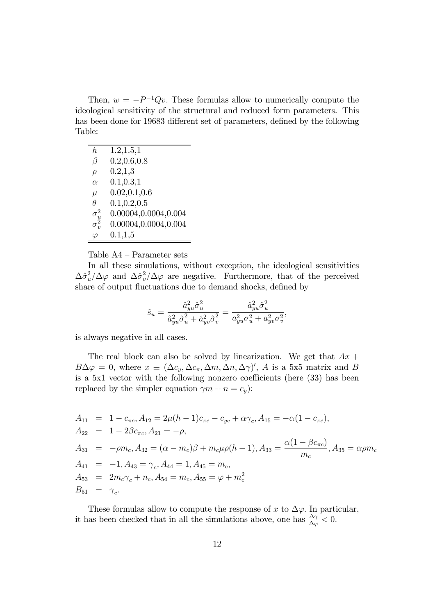Then,  $w = -P^{-1}Qv$ . These formulas allow to numerically compute the ideological sensitivity of the structural and reduced form parameters. This has been done for 19683 different set of parameters, defined by the following Table:

| h.               | 1.2, 1.5, 1            |
|------------------|------------------------|
| β                | 0.2, 0.6, 0.8          |
| $\rho$           | 0.2, 1.3               |
| $\alpha$         | 0.1, 0.3, 1            |
| $\mu$            | 0.02, 0.1, 0.6         |
| Ĥ                | 0.1, 0.2, 0.5          |
| $\sigma_{u}^{2}$ | 0.00004, 0.0004, 0.004 |
| $\sigma_{\nu}^2$ | 0.00004, 0.0004, 0.004 |
| $\varphi$        | 0.1, 1.5               |

Table  $A4$  – Parameter sets

In all these simulations, without exception, the ideological sensitivities  $\Delta \hat{\sigma}_u^2$  $\frac{2}{u}/\Delta \varphi$  and  $\Delta \hat{\sigma}_v^2$  $v^2/\Delta\varphi$  are negative. Furthermore, that of the perceived share of output fluctuations due to demand shocks, defined by

$$
\hat{s}_{u}=\frac{\hat{a}_{yu}^{2}\hat{\sigma}_{u}^{2}}{\hat{a}_{yu}^{2}\hat{\sigma}_{u}^{2}+\hat{a}_{yv}^{2}\hat{\sigma}_{v}^{2}}=\frac{\hat{a}_{yu}^{2}\hat{\sigma}_{u}^{2}}{a_{yu}^{2}\sigma_{u}^{2}+a_{yv}^{2}\sigma_{v}^{2}},
$$

is always negative in all cases.

The real block can also be solved by linearization. We get that  $Ax +$  $B\Delta\varphi = 0$ , where  $x \equiv (\Delta c_y, \Delta c_\pi, \Delta m, \Delta n, \Delta \gamma)'$ , A is a 5x5 matrix and B is a  $5x1$  vector with the following nonzero coefficients (here  $(33)$ ) has been replaced by the simpler equation  $\gamma m + n = c_y$ :

$$
A_{11} = 1 - c_{\pi c}, A_{12} = 2\mu (h - 1)c_{\pi c} - c_{yc} + \alpha \gamma_c, A_{15} = -\alpha (1 - c_{\pi c}),
$$
  
\n
$$
A_{22} = 1 - 2\beta c_{\pi c}, A_{21} = -\rho,
$$
  
\n
$$
A_{31} = -\rho m_c, A_{32} = (\alpha - m_c)\beta + m_c \mu \rho (h - 1), A_{33} = \frac{\alpha (1 - \beta c_{\pi c})}{m_c}, A_{35} = \alpha \rho m_c
$$
  
\n
$$
A_{41} = -1, A_{43} = \gamma_c, A_{44} = 1, A_{45} = m_c,
$$
  
\n
$$
A_{53} = 2m_c \gamma_c + n_c, A_{54} = m_c, A_{55} = \varphi + m_c^2
$$
  
\n
$$
B_{51} = \gamma_c.
$$

These formulas allow to compute the response of x to  $\Delta \varphi$ . In particular, it has been checked that in all the simulations above, one has  $\frac{\Delta \gamma}{\Delta \varphi} < 0$ .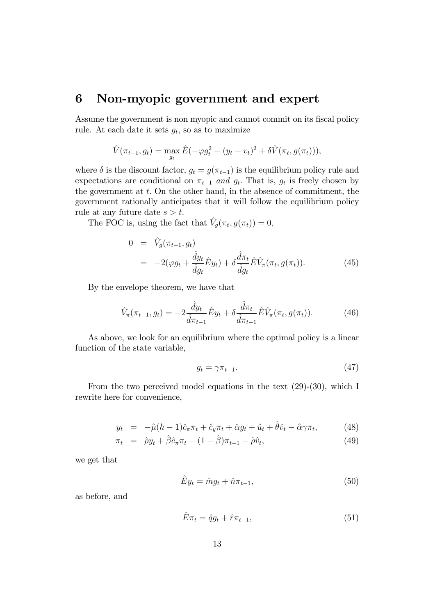#### 6 Non-myopic government and expert

Assume the government is non myopic and cannot commit on its fiscal policy rule. At each date it sets  $g_t$ , so as to maximize

$$
\hat{V}(\pi_{t-1}, g_t) = \max_{g_t} \hat{E}(-\varphi g_t^2 - (y_t - v_t)^2 + \delta \hat{V}(\pi_t, g(\pi_t))),
$$

where  $\delta$  is the discount factor,  $g_t = g(\pi_{t-1})$  is the equilibrium policy rule and expectations are conditional on  $\pi_{t-1}$  and  $g_t$ . That is,  $g_t$  is freely chosen by the government at  $t$ . On the other hand, in the absence of commitment, the government rationally anticipates that it will follow the equilibrium policy rule at any future date  $s > t$ .

The FOC is, using the fact that  $\hat{V}_g(\pi_t, g(\pi_t)) = 0$ ,

$$
0 = \hat{V}_g(\pi_{t-1}, g_t)
$$
  
= 
$$
-2(\varphi g_t + \frac{\hat{d}y_t}{\hat{d}g_t}\hat{E}y_t) + \delta \frac{\hat{d}\pi_t}{\hat{d}g_t}\hat{E}\hat{V}_\pi(\pi_t, g(\pi_t)).
$$
 (45)

By the envelope theorem, we have that

$$
\hat{V}_{\pi}(\pi_{t-1}, g_t) = -2 \frac{\hat{d}y_t}{\hat{d}\pi_{t-1}} \hat{E}y_t + \delta \frac{\hat{d}\pi_t}{\hat{d}\pi_{t-1}} \hat{E} \hat{V}_{\pi}(\pi_t, g(\pi_t)).
$$
\n(46)

As above, we look for an equilibrium where the optimal policy is a linear function of the state variable,

$$
g_t = \gamma \pi_{t-1}.\tag{47}
$$

From the two perceived model equations in the text (29)-(30), which I rewrite here for convenience,

$$
y_t = -\hat{\mu}(h-1)\hat{c}_{\pi}\pi_t + \hat{c}_y\pi_t + \hat{\alpha}g_t + \hat{u}_t + \hat{\theta}\hat{v}_t - \hat{\alpha}\gamma\pi_t, \tag{48}
$$

$$
\pi_t = \hat{\rho} y_t + \hat{\beta} \hat{c}_\pi \pi_t + (1 - \hat{\beta}) \pi_{t-1} - \hat{\rho} \hat{v}_t, \tag{49}
$$

we get that

$$
\hat{E}y_t = \hat{m}g_t + \hat{n}\pi_{t-1},\tag{50}
$$

as before, and

$$
\hat{E}\pi_t = \hat{q}g_t + \hat{r}\pi_{t-1},\tag{51}
$$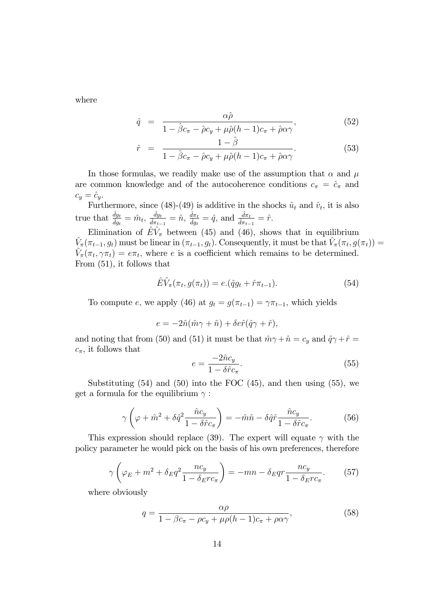where

$$
\hat{q} = \frac{\alpha \hat{\rho}}{1 - \hat{\beta}c_{\pi} - \hat{\rho}c_{y} + \mu \hat{\rho}(h - 1)c_{\pi} + \hat{\rho}\alpha\gamma},
$$
\n(52)

$$
\hat{r} = \frac{1 - \hat{\beta}}{1 - \hat{\beta}c_{\pi} - \hat{\rho}c_{y} + \mu\hat{\rho}(h-1)c_{\pi} + \hat{\rho}\alpha\gamma}.
$$
\n(53)

In those formulas, we readily make use of the assumption that  $\alpha$  and  $\mu$ are common knowledge and of the autocoherence conditions  $c_{\pi} = \hat{c}_{\pi}$  and  $c_y = \hat{c}_y.$ 

Furthermore, since (48)-(49) is additive in the shocks  $\hat{u}_t$  and  $\hat{v}_t$ , it is also true that  $\frac{\hat{d}y_t}{\hat{d}g_t} = \hat{m}_t, \frac{\hat{d}y_t}{\hat{d}\pi_{t-}}$  $\frac{\hat{d}y_t}{\hat{d}\pi_{t-1}} = \hat{n}, \, \frac{\hat{d}\pi_t}{\hat{d}y_t} = \hat{q}, \, \text{and} \, \frac{\hat{d}\pi_t}{\hat{d}\pi_{t-1}} = \hat{r}.$ 

Elimination of  $\hat{E}\hat{V}_{\pi}$  between (45) and (46), shows that in equilibrium  $\hat{V}_{\pi}(\pi_{t-1}, g_t)$  must be linear in  $(\pi_{t-1}, g_t)$ . Consequently, it must be that  $\hat{V}_{\pi}(\pi_t, g(\pi_t)) =$  $\hat{V}_{\pi}(\pi_t, \gamma \pi_t) = e \pi_t$ , where e is a coefficient which remains to be determined. From (51), it follows that

$$
\hat{E}\hat{V}_{\pi}(\pi_t, g(\pi_t)) = e.(\hat{q}g_t + \hat{r}\pi_{t-1}).
$$
\n(54)

To compute e, we apply (46) at  $g_t = g(\pi_{t-1}) = \gamma \pi_{t-1}$ , which yields

$$
e = -2\hat{n}(\hat{m}\gamma + \hat{n}) + \delta e \hat{r}(\hat{q}\gamma + \hat{r}),
$$

and noting that from (50) and (51) it must be that  $\hat{m}\gamma + \hat{n} = c_y$  and  $\hat{q}\gamma + \hat{r} = c_y$  $c_{\pi}$ , it follows that

$$
e = \frac{-2\hat{n}c_y}{1 - \delta\hat{r}c_\pi}.\tag{55}
$$

Substituting  $(54)$  and  $(50)$  into the FOC  $(45)$ , and then using  $(55)$ , we get a formula for the equilibrium  $\gamma$ :

$$
\gamma \left( \varphi + \hat{m}^2 + \delta \hat{q}^2 \frac{\hat{n} c_y}{1 - \delta \hat{r} c_\pi} \right) = -\hat{m}\hat{n} - \delta \hat{q}\hat{r} \frac{\hat{n} c_y}{1 - \delta \hat{r} c_\pi}.
$$
 (56)

This expression should replace (39). The expert will equate  $\gamma$  with the policy parameter he would pick on the basis of his own preferences, therefore

$$
\gamma \left(\varphi_E + m^2 + \delta_E q^2 \frac{nc_y}{1 - \delta_E rc_\pi}\right) = -mn - \delta_E qr \frac{nc_y}{1 - \delta_E rc_\pi}.\tag{57}
$$

where obviously

$$
q = \frac{\alpha \rho}{1 - \beta c_{\pi} - \rho c_{y} + \mu \rho (h - 1) c_{\pi} + \rho \alpha \gamma},
$$
\n(58)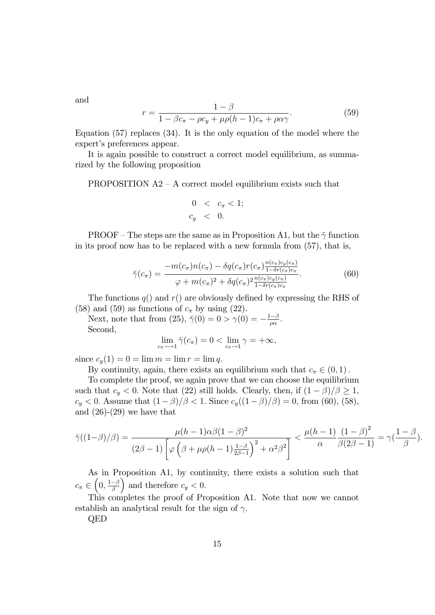and

$$
r = \frac{1 - \beta}{1 - \beta c_{\pi} - \rho c_y + \mu \rho (h - 1) c_{\pi} + \rho \alpha \gamma}.
$$
 (59)

Equation (57) replaces (34). It is the only equation of the model where the expert's preferences appear.

It is again possible to construct a correct model equilibrium, as summarized by the following proposition

PROPOSITION  $A2 - A$  correct model equilibrium exists such that

$$
0 < c_{\pi} < 1; \\
 c_y < 0.
$$

PROOF – The steps are the same as in Proposition A1, but the  $\tilde{\gamma}$  function in its proof now has to be replaced with a new formula from (57), that is,

$$
\breve{\gamma}(c_{\pi}) = \frac{-m(c_{\pi})n(c_{\pi}) - \delta q(c_{\pi})r(c_{\pi})\frac{n(c_{\pi})c_{y}(c_{\pi})}{1 - \delta r(c_{\pi})c_{\pi}}}{\varphi + m(c_{\pi})^{2} + \delta q(c_{\pi})^{2}\frac{n(c_{\pi})c_{y}(c_{\pi})}{1 - \delta r(c_{\pi})c_{\pi}}}.
$$
(60)

The functions  $q()$  and  $r()$  are obviously defined by expressing the RHS of (58) and (59) as functions of  $c_{\pi}$  by using (22).

Next, note that from (25),  $\ddot{\gamma}(0) = 0 > \gamma(0) = -\frac{1-\beta}{\rho \alpha}$ . Second,

$$
\lim_{c_{\pi}\longrightarrow 1} \breve{\gamma}(c_{\pi}) = 0 < \lim_{c_{\pi}\longrightarrow 1} \gamma = +\infty,
$$

since  $c_y(1) = 0 = \lim m = \lim r = \lim q$ .

By continuity, again, there exists an equilibrium such that  $c_{\pi} \in (0, 1)$ .

To complete the proof, we again prove that we can choose the equilibrium such that  $c_y < 0$ . Note that (22) still holds. Clearly, then, if  $(1 - \beta)/\beta \geq 1$ ,  $c_y < 0$ . Assume that  $(1 - \beta)/\beta < 1$ . Since  $c_y((1 - \beta)/\beta) = 0$ , from (60), (58), and  $(26)-(29)$  we have that

$$
\breve{\gamma}((1-\beta)/\beta) = \frac{\mu(h-1)\alpha\beta(1-\beta)^2}{(2\beta-1)\left[\varphi\left(\beta+\mu\rho(h-1)\frac{1-\beta}{2\beta-1}\right)^2+\alpha^2\beta^2\right]} < \frac{\mu(h-1)}{\alpha}\frac{(1-\beta)^2}{\beta(2\beta-1)} = \gamma\left(\frac{1-\beta}{\beta}\right).
$$

As in Proposition A1, by continuity, there exists a solution such that  $c_{\pi} \in \left(0, \frac{1-\beta}{\beta}\right)$ ) and therefore  $c_y < 0$ .

This completes the proof of Proposition A1. Note that now we cannot establish an analytical result for the sign of  $\gamma$ .

QED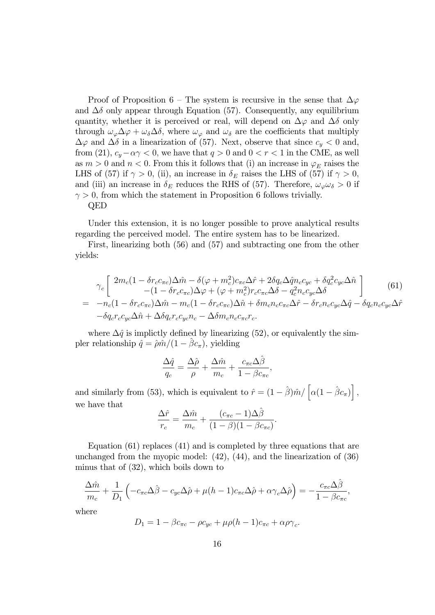Proof of Proposition 6 – The system is recursive in the sense that  $\Delta\varphi$ and  $\Delta\delta$  only appear through Equation (57). Consequently, any equilibrium quantity, whether it is perceived or real, will depend on  $\Delta\varphi$  and  $\Delta\delta$  only through  $\omega_{\varphi} \Delta \varphi + \omega_{\delta} \Delta \delta$ , where  $\omega_{\varphi}$  and  $\omega_{\delta}$  are the coefficients that multiply  $\Delta\varphi$  and  $\Delta\delta$  in a linearization of (57). Next, observe that since  $c_y < 0$  and, from (21),  $c_y - \alpha \gamma < 0$ , we have that  $q > 0$  and  $0 < r < 1$  in the CME, as well as  $m > 0$  and  $n < 0$ . From this it follows that (i) an increase in  $\varphi_E$  raises the LHS of (57) if  $\gamma > 0$ , (ii), an increase in  $\delta_E$  raises the LHS of (57) if  $\gamma > 0$ , and (iii) an increase in  $\delta_E$  reduces the RHS of (57). Therefore,  $\omega_{\varphi}\omega_{\delta} > 0$  if  $\gamma > 0$ , from which the statement in Proposition 6 follows trivially. QED

Under this extension, it is no longer possible to prove analytical results regarding the perceived model. The entire system has to be linearized.

First, linearizing both (56) and (57) and subtracting one from the other yields:

$$
\gamma_c \left[ 2m_c(1 - \delta r_c c_{\pi c})\Delta \hat{m} - \delta(\varphi + m_c^2)c_{\pi c}\Delta \hat{r} + 2\delta q_c \Delta \hat{q}n_c c_{yc} + \delta q_c^2 c_{yc}\Delta \hat{n} \right] \qquad (61)
$$
  
=  $-n_c(1 - \delta r_c c_{\pi c})\Delta \hat{m} - m_c(1 - \delta r_c c_{\pi c})\Delta \hat{n} + \delta m_c n_c c_{\pi c}\Delta \hat{r} - \delta r_c n_c c_{yc}\Delta \hat{q} - \delta q_c n_c c_{yc}\Delta \hat{r} \right]$   
 $- \delta q_c r_c c_{yc}\Delta \hat{n} + \Delta \delta q_c r_c c_{yc}n_c - \Delta \delta m_c n_c c_{\pi c}r_c.$ 

where  $\Delta \hat{q}$  is implictly defined by linearizing (52), or equivalently the simpler relationship  $\hat{q} = \hat{p}\hat{m}/(1 - \hat{\beta}c_{\pi}),$  yielding

$$
\frac{\Delta \hat{q}}{q_c} = \frac{\Delta \hat{\rho}}{\rho} + \frac{\Delta \hat{m}}{m_c} + \frac{c_{\pi c} \Delta \hat{\beta}}{1 - \beta c_{\pi c}},
$$

and similarly from (53), which is equivalent to  $\hat{r} = (1 - \hat{\beta}) \hat{m} / \left[ \alpha (1 - \hat{\beta} c_{\pi}) \right]$ , we have that

$$
\frac{\Delta\hat{r}}{r_c} = \frac{\Delta\hat{m}}{m_c} + \frac{(c_{\pi c} - 1)\Delta\hat{\beta}}{(1 - \beta)(1 - \beta c_{\pi c})}.
$$

Equation (61) replaces (41) and is completed by three equations that are unchanged from the myopic model: (42), (44), and the linearization of (36) minus that of (32), which boils down to

$$
\frac{\Delta \hat{m}}{m_c} + \frac{1}{D_1} \left( -c_{\pi c} \Delta \hat{\beta} - c_{yc} \Delta \hat{\rho} + \mu (h - 1) c_{\pi c} \Delta \hat{\rho} + \alpha \gamma_c \Delta \hat{\rho} \right) = -\frac{c_{\pi c} \Delta \hat{\beta}}{1 - \beta c_{\pi c}},
$$

where

$$
D_1 = 1 - \beta c_{\pi c} - \rho c_{yc} + \mu \rho (h - 1) c_{\pi c} + \alpha \rho \gamma_c.
$$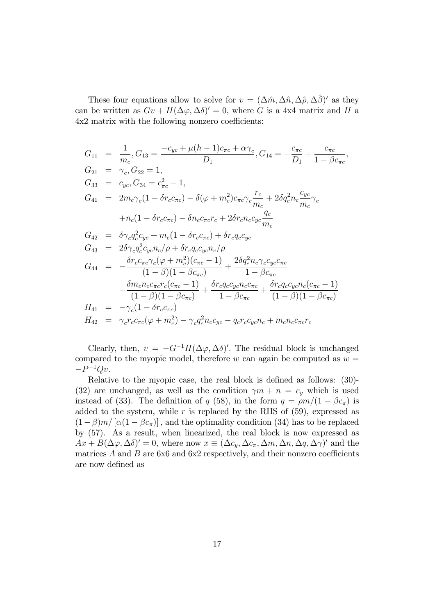These four equations allow to solve for  $v = (\Delta \hat{m}, \Delta \hat{n}, \Delta \hat{\rho}, \Delta \hat{\beta})'$  as they can be written as  $Gv + H(\Delta \varphi, \Delta \delta)' = 0$ , where G is a 4x4 matrix and H a  $4x2$  matrix with the following nonzero coefficients:

$$
G_{11} = \frac{1}{m_c}, G_{13} = \frac{-c_{yc} + \mu(h-1)c_{\pi c} + \alpha \gamma_c}{D_1}, G_{14} = -\frac{c_{\pi c}}{D_1} + \frac{c_{\pi c}}{1 - \beta c_{\pi c}},
$$
  
\n
$$
G_{21} = \gamma_c, G_{22} = 1,
$$
  
\n
$$
G_{33} = c_{yc}, G_{34} = c_{\pi c}^2 - 1,
$$
  
\n
$$
G_{41} = 2m_c\gamma_c(1 - \delta r_c c_{\pi c}) - \delta(\varphi + m_c^2)c_{\pi c}\gamma_c \frac{r_c}{m_c} + 2\delta q_c^2 n_c \frac{c_{yc}}{m_c} \gamma_c
$$
  
\n
$$
+ n_c(1 - \delta r_c c_{\pi c}) - \delta n_c c_{\pi c} r_c + 2\delta r_c n_c c_{yc} \frac{q_c}{m_c}
$$
  
\n
$$
G_{42} = \delta \gamma_c q_c^2 c_{yc} + m_c(1 - \delta r_c c_{\pi c}) + \delta r_c q_c c_{yc}
$$
  
\n
$$
G_{43} = 2\delta \gamma_c q_c^2 c_{yc} n_c / \rho + \delta r_c q_c c_{yc} n_c / \rho
$$
  
\n
$$
G_{44} = -\frac{\delta r_c c_{\pi c} \gamma_c (\varphi + m_c^2)(c_{\pi c} - 1)}{(1 - \beta)(1 - \beta c_{\pi c})} + \frac{2\delta q_c^2 n_c \gamma_c c_{yc} c_{\pi c}}{1 - \beta c_{\pi c}} -\frac{\delta m_c n_c c_{\pi c} r_c (c_{\pi c} - 1)}{(1 - \beta)(1 - \beta c_{\pi c})} + \frac{\delta r_c q_c c_{yc} n_c c_{\pi c}}{(1 - \beta)(1 - \beta c_{\pi c})} + \frac{\delta r_c q_c c_{yc} n_c c_{\pi c}}{(1 - \beta)(1 - \beta c_{\pi c})}
$$
  
\n
$$
H_{41} = -\gamma_c (1 - \delta r_c c_{\pi c})
$$
  
\n
$$
H_{42} = \gamma_c r_c c_{\pi c} (\varphi + m_c^2) - \gamma_c q_c^2 n_c c_{yc} - q_c r_c c_{yc} n_c + m_c n_c c_{\pi
$$

Clearly, then,  $v = -G^{-1}H(\Delta\varphi, \Delta\delta)'$ . The residual block is unchanged compared to the myopic model, therefore w can again be computed as  $w =$  $-P^{-1}Qv.$ 

Relative to the myopic case, the real block is defined as follows:  $(30)$ -(32) are unchanged, as well as the condition  $\gamma m + n = c_y$  which is used instead of (33). The definition of q (58), in the form  $q = \rho m/(1 - \beta c_{\pi})$  is added to the system, while r is replaced by the RHS of  $(59)$ , expressed as  $(1-\beta)m/[\alpha(1-\beta c_{\pi})]$ , and the optimality condition (34) has to be replaced by (57). As a result, when linearized, the real block is now expressed as  $Ax + B(\Delta\varphi, \Delta\delta)' = 0$ , where now  $x \equiv (\Delta c_y, \Delta c_\pi, \Delta m, \Delta n, \Delta q, \Delta \gamma)'$  and the matrices  $A$  and  $B$  are 6x6 and 6x2 respectively, and their nonzero coefficients are now defined as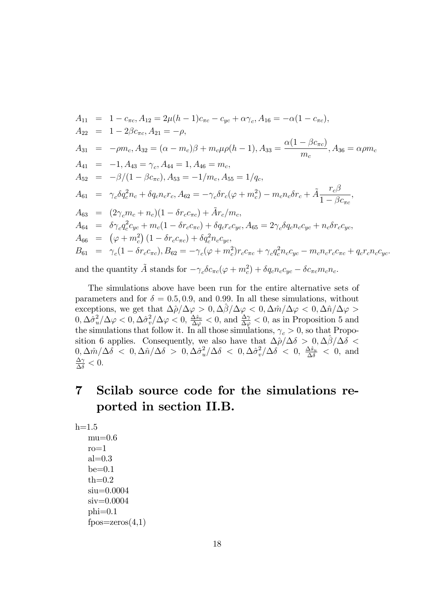$$
A_{11} = 1 - c_{\pi c}, A_{12} = 2\mu(h - 1)c_{\pi c} - c_{yc} + \alpha \gamma_c, A_{16} = -\alpha(1 - c_{\pi c}),
$$
  
\n
$$
A_{22} = 1 - 2\beta c_{\pi c}, A_{21} = -\rho,
$$
  
\n
$$
A_{31} = -\rho m_c, A_{32} = (\alpha - m_c)\beta + m_c\mu\rho(h - 1), A_{33} = \frac{\alpha(1 - \beta c_{\pi c})}{m_c}, A_{36} = \alpha \rho m_c
$$
  
\n
$$
A_{41} = -1, A_{43} = \gamma_c, A_{44} = 1, A_{46} = m_c,
$$
  
\n
$$
A_{52} = -\beta/(1 - \beta c_{\pi c}), A_{53} = -1/m_c, A_{55} = 1/q_c,
$$
  
\n
$$
A_{61} = \gamma_c \delta q_c^2 n_c + \delta q_c n_c r_c, A_{62} = -\gamma_c \delta r_c (\varphi + m_c^2) - m_c n_c \delta r_c + \tilde{A} \frac{r_c \beta}{1 - \beta c_{\pi c}},
$$
  
\n
$$
A_{63} = (2\gamma_c m_c + n_c)(1 - \delta r_c c_{\pi c}) + \tilde{A}r_c/m_c,
$$
  
\n
$$
A_{64} = \delta \gamma_c q_c^2 c_{yc} + m_c(1 - \delta r_c c_{\pi c}) + \delta q_c r_c c_{yc}, A_{65} = 2\gamma_c \delta q_c n_c c_{yc} + n_c \delta r_c c_{yc},
$$
  
\n
$$
A_{66} = (\varphi + m_c^2)(1 - \delta r_c c_{\pi c}) + \delta q_c^2 n_c c_{yc},
$$
  
\n
$$
B_{61} = \gamma_c(1 - \delta r_c c_{\pi c}), B_{62} = -\gamma_c(\varphi + m_c^2)r_c c_{\pi c} + \gamma_c q_c^2 n_c c_{yc} - m_c n_c r_c c_{\pi c} + q_c r_c n_c c_{yc}.
$$
  
\nand the quantity  $\tilde{A}$  stands for  $-\gamma_c \delta c_{\pi c}(\varphi + m_c^2) + \delta q_c n_c c_{yc} - \delta c_{\pi c} m_c n_c.$ 

The simulations above have been run for the entire alternative sets of parameters and for  $\delta = 0.5, 0.9$ , and 0.99. In all these simulations, without exceptions, we get that  $\Delta \hat{\rho}/\Delta \varphi > 0$ ,  $\Delta \hat{\beta}/\Delta \varphi < 0$ ,  $\Delta \hat{m}/\Delta \varphi < 0$ ,  $\Delta \hat{n}/\Delta \varphi > 0$  $0, \Delta \hat{\sigma}_u^2$  $\frac{2}{u}/\Delta \varphi < 0, \Delta \hat{\sigma}_v^2$  $v^2/\Delta\varphi < 0, \, \frac{\Delta \hat{s}_u}{\Delta \varphi}$  $\frac{\Delta \hat{s}_u}{\Delta \varphi} < 0$ , and  $\frac{\Delta \gamma}{\Delta \varphi} < 0$ , as in Proposition 5 and the simulations that follow it. In all those simulations,  $\gamma_c > 0$ , so that Proposition 6 applies. Consequently, we also have that  $\Delta \hat{\rho}/\Delta \delta > 0, \Delta \hat{\beta}/\Delta \delta <$  $0, \Delta \hat{m}/\Delta \delta \ < \ 0, \Delta \hat{n}/\Delta \delta \ > \ 0, \Delta \hat{\sigma}_u^2$  $\frac{2}{u}/\Delta\delta$  < 0,  $\Delta\hat{\sigma}_v^2$  $\frac{2}{v}/\Delta\delta$  < 0,  $\frac{\Delta\hat{s}_u}{\Delta\delta}$  < 0, and  $\frac{\Delta \gamma}{\Delta \delta} < 0.$ 

### 7 Scilab source code for the simulations reported in section II.B.

```
h=1.5mu=0.6ro=1
   al=0.3be=0.1th=0.2siu=0.0004
   siv=0.0004
   phi=0.1fpos=zeros(4,1)
```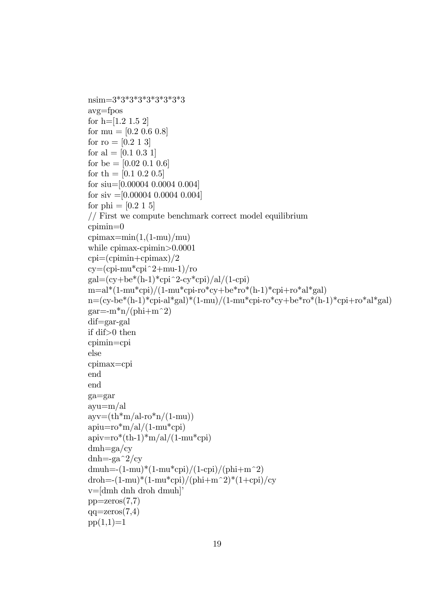```
nsim=3*3*3*3*3*3*3*3*3
avg=fpos
for h=[1.2 1.5 2]for mu = [0.2 \ 0.6 \ 0.8]for ro = [0.2 1 3]for al = [0.1 0.3 1]
for be =[0.02 \; 0.1 \; 0.6]for th = [0.1 \ 0.2 \ 0.5]for siu=[0.00004 0.0004 0.004]
for siv =[0.00004 \ 0.0004 \ 0.004]for phi = [0.2 1 5]// First we compute benchmark correct model equilibrium
cpimin=0
cpimax=min(1,(1-mu)/mu)while cpimax-cpimin>0.0001
cpi=(cprimin+cpimax)/2cy=(cpi-mu*cpi^2+mu-1)/rogal=(cy+be*(h-1)*cpi^2-cy*cpi)/al/(1-cpi)m=a^*(1-mu^*cpi)/(1-mu^*cpi-ro^*cy+be^*ro^*(h-1)^*cpi+ro^*al^*gal)n=(cy-be*(h-1)*cpi-al*gal)*(1-mu)/(1-mu*cpi-ro*cy+be*ro*(h-1)*cpi+ro*al*gal)gar=-m^*n/(phi+m^2)dif=gar-gal
if dif>0 then
cpimin=cpi
else
cpimax=cpi
end
end
ga=gar
ayu=m/al
\text{avv}=(\text{th}^*\text{m}/\text{al-ro}^*\text{n}/(1\text{-}\text{mu}))apiu=ro*m/al/(1-mu*cpi)apiv=ro^{*}(th-1)*m/al/(1-mu*cpi)dmh=ga/cydnh=-ga^2/cy
dmuh = (1-mu)*(1-mu*cpi)/(1-cpi)/(phi+m^2)droh=-(1-mu)*(1-mu*cpi)/(phi+m^2)*(1+cpi)/cyv=[dmh] dnh droh dmuh]<sup>†</sup>
pp =zeros(7,7)qq = zeros(7,4)pp(1,1)=1
```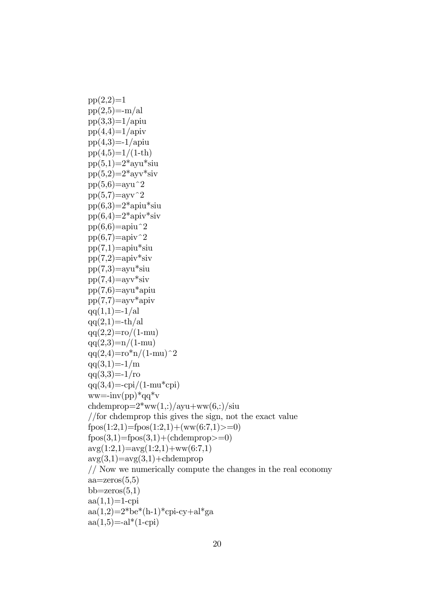```
pp(2,2)=1pp(2,5)=m/alpp(3,3)=1/apiu
pp(4,4)=1/apiv
pp(4,3)=1/apiu
pp(4,5)=1/(1-th)pp(5,1)=2*ayu*siu
pp(5,2)=2*ayv*siv
pp(5,6)=ayu^2
pp(5,7)=ayv<sup>\hat{}</sup>2
pp(6,3)=2*apiu*siu
pp(6,4)=2*apiv*siv
pp(6,6)=apiu<sup>\hat{}</sup>2
pp(6,7)=apiv^2pp(7,1)=apiu*siu
pp(7,2) =apiv*siv
pp(7,3)=ayu*siu
pp(7,4)=ayv*siv
pp(7,6)=ayu*apiu
pp(7,7)=ayv*apiv
qq(1,1)=-1/alqq(2,1)=-th/alqq(2,2)=\text{ro}/(1-\text{mu})qq(2,3)=n/(1-mu)qq(2,4)=r\sigma^{*}n/(1-mu)^{2}qa(3,1)=-1/mqq(3,3)=-1/roqq(3,4)=\frac{1}{(1-mu^*cpi)}ww=\text{inv}(pp)^*qq^*vchdemprop=2*ww(1,:)/ayu+ww(6,:)/siu//for chdemprop this gives the sign, not the exact value
fpos(1:2,1)=fpos(1:2,1)+(ww(6:7,1))>=0)fpos(3,1)=fpos(3,1)+(chdemprop>=0)avg(1:2,1)=avg(1:2,1)+ww(6:7,1)avg(3,1)=avg(3,1)+chdemprop// Now we numerically compute the changes in the real economy
aa = zeros(5,5)bb=zeros(5,1)aa(1,1)=1-cpi
aa(1,2)=2*be*(h-1)*cpi-cy+al*gaaa(1,5) = -al*(1-cpi)
```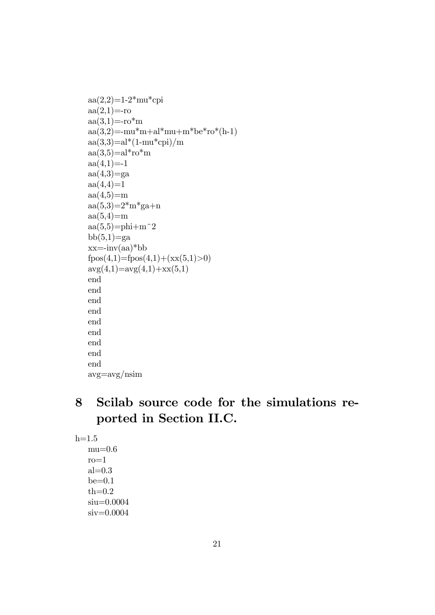```
aa(2,2)=1-2*mu*cpiaa(2,1)=-roaa(3,1)=-ro*<sup>m</sup>aa(3,2)=mu*<i>m</i>+al*<i>mu</i>+m*be*<i>ro</i>*(h-1)aa(3,3)=al*(1-mu*cpi)/maa(3,5)=al*ro*<sub>m</sub>aa(4,1)=1aa(4,3)=ga
aa(4,4)=1aa(4,5)=maa(5,3)=2<sup>*</sup>m<sup>*</sup>ga+n
aa(5,4)=maa(5,5)=phi+m^2bb(5,1)=ga
xx = -inv(aa)*bbfpos(4,1)=fpos(4,1)+(xx(5,1)>0)\arg(4,1)=\arg(4,1)+\arg(5,1)end
end
end
end
end
end
end
end
end
avg=avg/nsim
```
### 8 Scilab source code for the simulations reported in Section II.C.

 $h=1.5$ 

 $mu=0.6$  $ro=1$  $al=0.3$  $be=0.1$  $th=0.2$ siu=0.0004 siv=0.0004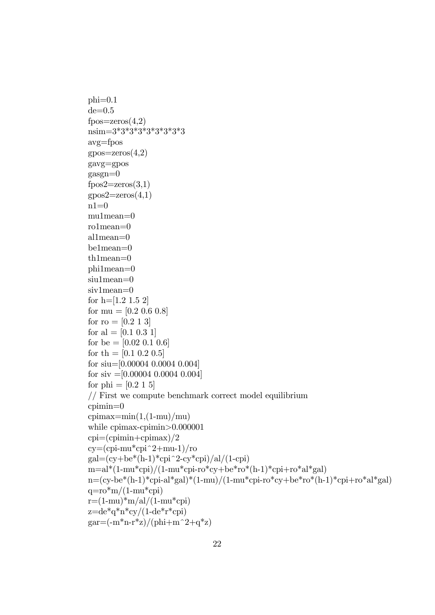```
phi=0.1de=0.5fpos=zeros(4,2)nsim=3*3*3*3*3*3*3*3*3
avg=fpos
gpos=zeros(4,2)gavg=gpos
gasgn=0fpos2 = zeros(3,1)\text{gpos2}=\text{zeros}(4,1)n1=0mu1mean=0
ro1mean=0
al1mean=0
be1mean=0
th1mean=0
phi1mean=0
siu1mean=0
siv1mean=0
for h=[1.2 1.5 2]
for mu = [0.2 \ 0.6 \ 0.8]for ro = [0.2 1 3]for al = [0.1 0.3 1]
for be =[0.02 \; 0.1 \; 0.6]for th = [0.1 \ 0.2 \ 0.5]for siu=[0.00004 0.0004 0.004]
for siv =[0.00004 0.0004 0.004]
for phi = [0.2 1 5]// First we compute benchmark correct model equilibrium
cpimin=0
cpimax=min(1,(1-mu)/mu)while cpimax-cpimin>0.000001
cpi=(cprimin+cpimax)/2cy=(cpi-mu*cpi^2+mu-1)/rogal=(cy+be*(h-1)*cpi^2-cy*cpi)/al/(1-cpi)m=al*(1-mu*cpi)/(1-mu*cpi-ro*cy+be*ro*(h-1)*cpi+ro*al*gal)n=(cy-be*(h-1)*cpi-al*gal)*(1-mu)/(1-mu*cpi-ro*cy+be*ro*(h-1)*cpi+ro*al*gal)q=ro*m/(1-mu*cpi)
r=(1-mu)*m/al/(1-mu*cpi)z=de^*q^*n^*cy/(1-de^*r^*cpi)gar=(-m*n-r*z)/(phi+m^2+q*z)
```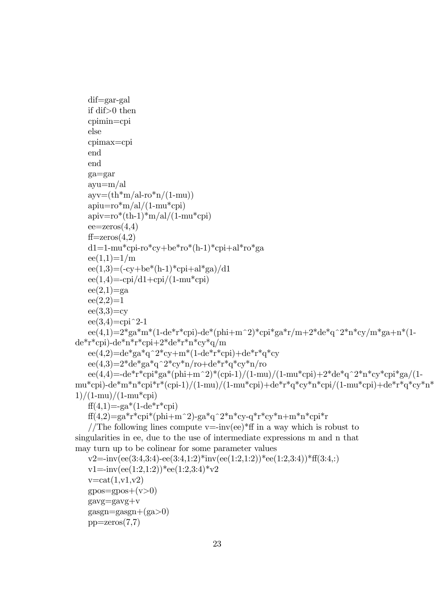```
dif=gar-gal
   if dif>0 then
   cpimin=cpi
   else
   cpimax=cpi
   end
   end
   ga=gar
   ayu=m/al
   \text{ayv}=(\text{th}^*\text{m}/\text{al-ro}^*\text{n}/(1\text{-}\text{mu}))apiu=ro*m/al/(1-mu*cpi)apiv=ro*(th-1)*m/al/(1-mu*cpi)ee = zeros(4,4)ff = zeros(4,2)d1=1-mu*cpi-ro*cy+be*ro*(h-1)*cpi+al*ro*ga
   ee(1,1)=1/mee(1,3)=(-cy+be*(h-1)*cpi+al*ga)/d1ee(1,4)=\frac{1}{\text{pi}/d1+\text{cpi}/(1-\text{mu}^*\text{cpi})}ee(2,1)=gaee(2,2)=1ee(3,3)=cyee(3,4)=cpi^2-1
   ee(4,1)=2*ga*m*(1-de*r*cpi)-de*(phi+m^2)*cpi*ga*r/m+2*de*q^2*n*cy/m*ga+n*(1-
de*r*cpi)-de*n*r*cpi+2*de*r*n*cy*q/m
   ee(4,2)=de*ga*q^2*cy+m*(1-de*r*cpi)+de*r*q*cy
   ee(4,3)=2*de*ga*q^2*cy*n/ro+de*r*q*cy*n/roee(4,4)=-de*r*cpi*ga*(phi+m^2)*(cpi-1)/(1-mu)/(1-mu*cpi)+2*de*q^2*n*cy*cpi*ga/(1-
mu*cpi)-de*m*n*cpi*r*(cpi-1)/(1-mu)/(1-mu*cpi)+de*r*q*cy*n*cpi/(1-mu*cpi)+de*r*q*cy*n*
1)/(1-mu)/(1-mu*cpi)ff(4,1)=ga*(1-de*r*cpi)f(f(4,2)=ga*r*cpi*(phi+m^2)-ga*q^2*n*cy-q*r*cy*n+m*n*cpi*r
```
//The following lines compute v=-inv(ee)\* $\text{ff}$  in a way which is robust to singularities in ee, due to the use of intermediate expressions m and n that may turn up to be colinear for some parameter values

```
v2=-inv(ee(3:4,3:4)-ee(3:4,1:2)*inv(ee(1:2,1:2))*ee(1:2,3:4))*ff(3:4,:)v1 = inv(ee(1:2,1:2))*ee(1:2,3:4)*v2v = \text{cat}(1, v1, v2)qpos = gpos + (v>0)gavg=gavg+v
gasgn=gasgn+(ga>0)pp = zeros(7,7)
```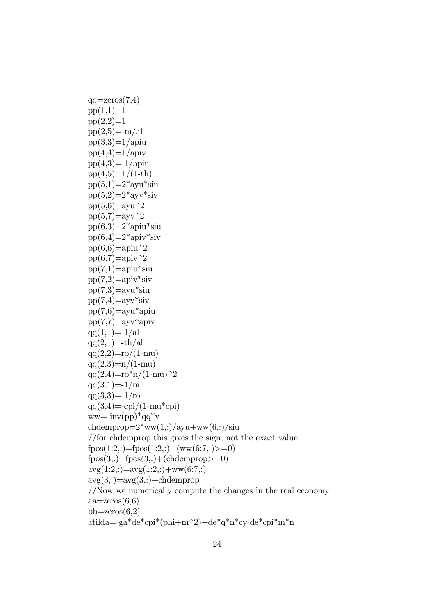$qq = zeros(7,4)$  $pp(1,1)=1$  $pp(2,2)=1$  $pp(2,5)=m/al$  $pp(3,3)=1/$ apiu  $pp(4,4)=1/$ apiv  $pp(4,3)=1/$ apiu  $pp(4,5)=1/(1-th)$  $pp(5,1)=2*$ ayu\*siu  $pp(5,2)=2*$ ayv\*siv  $pp(5,6)=$ ayu^2  $pp(5,7)=$ ayv<sup> $\hat{}$ </sup>2  $pp(6,3)=2*$ apiu\*siu  $pp(6,4)=2*$ apiv\*siv  $pp(6,6)=$ apiu<sup> $\hat{}$ </sup>2  $pp(6,7)=$ apiv<sup> $\sim$ </sup>2  $pp(7,1)=$ apiu\*siu  $pp(7,2)=apiv*siv$  $pp(7,3)=$ ayu\*siu  $pp(7,4)=$ ayv\*siv  $pp(7,6)=$ ayu\*apiu  $pp(7,7)=$ ayv\*apiv  $qq(1,1)=-1/al$  $qq(2,1)=-th/al$  $qq(2,2)=\text{ro}/(1-\text{mu})$  $qaq(2,3)=n/(1-mu)$  $qq(2,4)=r\sigma^{*}n/(1-mu)^{2}$  $qq(3,1)=-1/m$  $qa(3,3)=1/ro$  $qq(3,4)=$ -cpi/(1-mu\*cpi)  $ww = -inv(pp)^*qq^*v$ chdemprop= $2*ww(1,:)/ayu+ww(6,:)/siu$ //for chdemprop this gives the sign, not the exact value  $fpos(1:2,:) = fpos(1:2,:) + (ww(6:7,:) = 0)$  $fpos(3,:) = fpos(3,:) + (chdemprop) = 0)$  $\arg(1:2,:) = \arg(1:2,:) + \text{ww}(6:7,:)$  $\arg(3,:) = \arg(3,:) + \text{chdemprop}$ //Now we numerically compute the changes in the real economy  $aa = zeros(6,6)$ bb=zeros $(6,2)$ atilda=-ga\*de\*cpi\*(phi+m^2)+de\*q\*n\*cy-de\*cpi\*m\*n